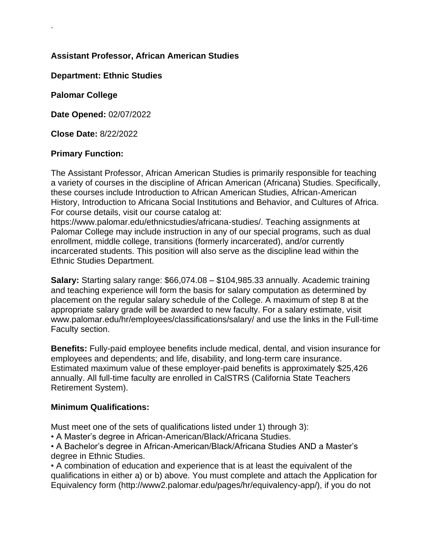# **Assistant Professor, African American Studies**

## **Department: Ethnic Studies**

**Palomar College**

`

**Date Opened:** 02/07/2022

**Close Date:** 8/22/2022

### **Primary Function:**

The Assistant Professor, African American Studies is primarily responsible for teaching a variety of courses in the discipline of African American (Africana) Studies. Specifically, these courses include Introduction to African American Studies, African-American History, Introduction to Africana Social Institutions and Behavior, and Cultures of Africa. For course details, visit our course catalog at:

https://www.palomar.edu/ethnicstudies/africana-studies/. Teaching assignments at Palomar College may include instruction in any of our special programs, such as dual enrollment, middle college, transitions (formerly incarcerated), and/or currently incarcerated students. This position will also serve as the discipline lead within the Ethnic Studies Department.

**Salary:** Starting salary range: \$66,074.08 – \$104,985.33 annually. Academic training and teaching experience will form the basis for salary computation as determined by placement on the regular salary schedule of the College. A maximum of step 8 at the appropriate salary grade will be awarded to new faculty. For a salary estimate, visit www.palomar.edu/hr/employees/classifications/salary/ and use the links in the Full-time Faculty section.

**Benefits:** Fully-paid employee benefits include medical, dental, and vision insurance for employees and dependents; and life, disability, and long-term care insurance. Estimated maximum value of these employer-paid benefits is approximately \$25,426 annually. All full-time faculty are enrolled in CalSTRS (California State Teachers Retirement System).

#### **Minimum Qualifications:**

Must meet one of the sets of qualifications listed under 1) through 3):

• A Master's degree in African-American/Black/Africana Studies.

• A Bachelor's degree in African-American/Black/Africana Studies AND a Master's degree in Ethnic Studies.

• A combination of education and experience that is at least the equivalent of the qualifications in either a) or b) above. You must complete and attach the Application for Equivalency form (http://www2.palomar.edu/pages/hr/equivalency-app/), if you do not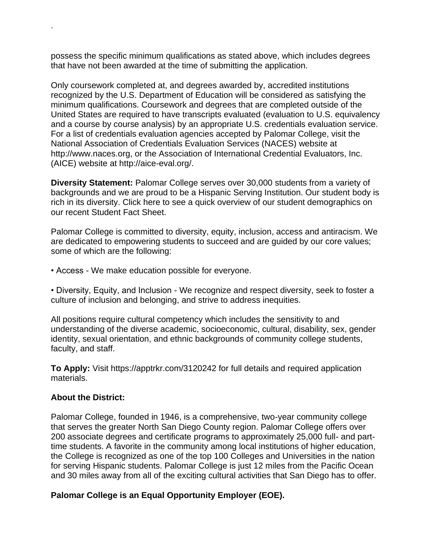possess the specific minimum qualifications as stated above, which includes degrees that have not been awarded at the time of submitting the application.

Only coursework completed at, and degrees awarded by, accredited institutions recognized by the U.S. Department of Education will be considered as satisfying the minimum qualifications. Coursework and degrees that are completed outside of the United States are required to have transcripts evaluated (evaluation to U.S. equivalency and a course by course analysis) by an appropriate U.S. credentials evaluation service. For a list of credentials evaluation agencies accepted by Palomar College, visit the National Association of Credentials Evaluation Services (NACES) website at http://www.naces.org, or the Association of International Credential Evaluators, Inc. (AICE) website at http://aice-eval.org/.

**Diversity Statement:** Palomar College serves over 30,000 students from a variety of backgrounds and we are proud to be a Hispanic Serving Institution. Our student body is rich in its diversity. Click here to see a quick overview of our student demographics on our recent Student Fact Sheet.

Palomar College is committed to diversity, equity, inclusion, access and antiracism. We are dedicated to empowering students to succeed and are guided by our core values; some of which are the following:

• Access - We make education possible for everyone.

• Diversity, Equity, and Inclusion - We recognize and respect diversity, seek to foster a culture of inclusion and belonging, and strive to address inequities.

All positions require cultural competency which includes the sensitivity to and understanding of the diverse academic, socioeconomic, cultural, disability, sex, gender identity, sexual orientation, and ethnic backgrounds of community college students, faculty, and staff.

**To Apply:** Visit https://apptrkr.com/3120242 for full details and required application materials.

#### **About the District:**

`

Palomar College, founded in 1946, is a comprehensive, two-year community college that serves the greater North San Diego County region. Palomar College offers over 200 associate degrees and certificate programs to approximately 25,000 full- and parttime students. A favorite in the community among local institutions of higher education, the College is recognized as one of the top 100 Colleges and Universities in the nation for serving Hispanic students. Palomar College is just 12 miles from the Pacific Ocean and 30 miles away from all of the exciting cultural activities that San Diego has to offer.

#### **Palomar College is an Equal Opportunity Employer (EOE).**